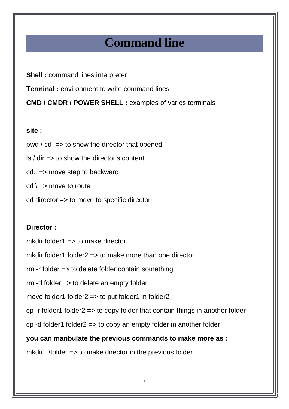# **Command line**

**Shell :** command lines interpreter **Terminal**: environment to write command lines **CMD / CMDR / POWER SHELL :** examples of varies terminals

#### **site :**

 $pwd / cd \Rightarrow to show the director that opened$ 

 $\vert$ s / dir => to show the director's content

cd.. => move step to backward

 $cd \geq$  move to route

cd director => to move to specific director

### **Director :**

mkdir folder1  $\Rightarrow$  to make director

mkdir folder1 folder2  $\Rightarrow$  to make more than one director

rm -r folder => to delete folder contain something

rm -d folder => to delete an empty folder

move folder1 folder2  $\Rightarrow$  to put folder1 in folder2

cp -r folder1 folder2 => to copy folder that contain things in another folder

1

cp -d folder1 folder2 => to copy an empty folder in another folder

**you can manbulate the previous commands to make more as :** 

mkdir ..\folder => to make director in the previous folder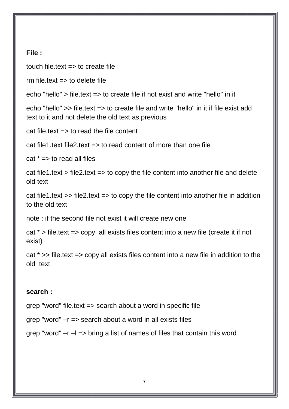#### **File :**

touch file.text  $\Rightarrow$  to create file

rm file text  $\Rightarrow$  to delete file.

echo "hello" > file.text => to create file if not exist and write "hello" in it

echo "hello" >> file.text => to create file and write "hello" in it if file exist add text to it and not delete the old text as previous

 $cat$  file text  $\Rightarrow$  to read the file content

cat file1.text file2.text  $\Rightarrow$  to read content of more than one file

 $cat * = > to read all files$ 

cat file1.text > file2.text => to copy the file content into another file and delete old text

cat file1.text >> file2.text => to copy the file content into another file in addition to the old text

note : if the second file not exist it will create new one

cat \* > file.text => copy all exists files content into a new file (create it if not exist)

cat \* >> file.text => copy all exists files content into a new file in addition to the old text

### **search :**

grep "word" file.text => search about a word in specific file

grep "word" –r => search about a word in all exists files

grep "word" –r –l => bring a list of names of files that contain this word